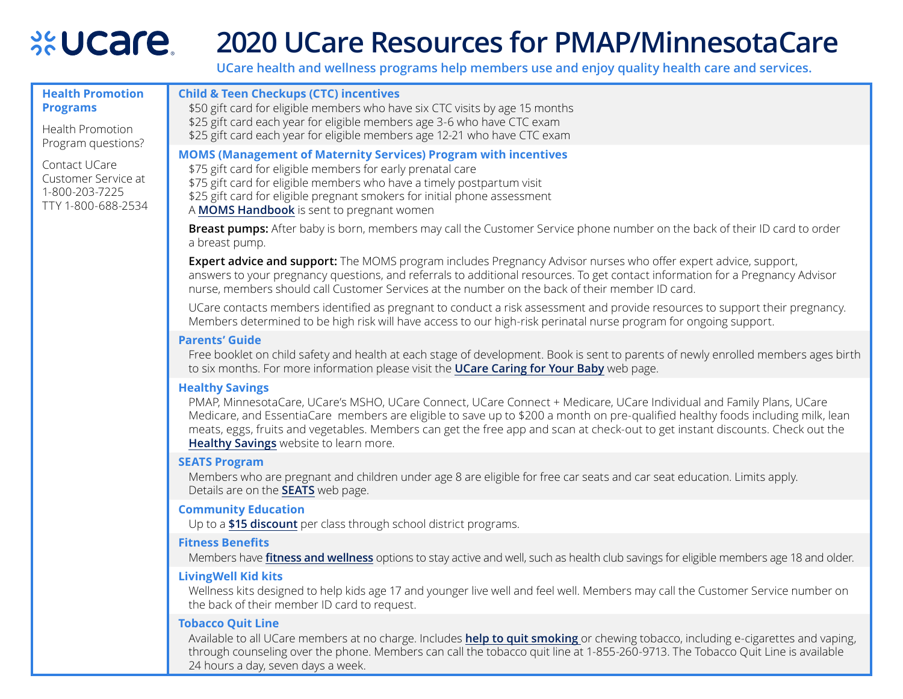## **xeUcare 2020 UCare Resources for PMAP/MinnesotaCare**

**UCare health and wellness programs help members use and enjoy quality health care and services.**

| <b>Health Promotion</b><br><b>Programs</b><br>Health Promotion<br>Program questions?<br>Contact UCare<br>Customer Service at<br>1-800-203-7225<br>TTY 1-800-688-2534 | <b>Child &amp; Teen Checkups (CTC) incentives</b><br>\$50 gift card for eligible members who have six CTC visits by age 15 months<br>\$25 gift card each year for eligible members age 3-6 who have CTC exam<br>\$25 gift card each year for eligible members age 12-21 who have CTC exam                                                                                                                                                                     |
|----------------------------------------------------------------------------------------------------------------------------------------------------------------------|---------------------------------------------------------------------------------------------------------------------------------------------------------------------------------------------------------------------------------------------------------------------------------------------------------------------------------------------------------------------------------------------------------------------------------------------------------------|
|                                                                                                                                                                      | <b>MOMS (Management of Maternity Services) Program with incentives</b><br>\$75 gift card for eligible members for early prenatal care<br>\$75 gift card for eligible members who have a timely postpartum visit<br>\$25 gift card for eligible pregnant smokers for initial phone assessment<br>A MOMS Handbook is sent to pregnant women                                                                                                                     |
|                                                                                                                                                                      | Breast pumps: After baby is born, members may call the Customer Service phone number on the back of their ID card to order<br>a breast pump.                                                                                                                                                                                                                                                                                                                  |
|                                                                                                                                                                      | Expert advice and support: The MOMS program includes Pregnancy Advisor nurses who offer expert advice, support,<br>answers to your pregnancy questions, and referrals to additional resources. To get contact information for a Pregnancy Advisor<br>nurse, members should call Customer Services at the number on the back of their member ID card.                                                                                                          |
|                                                                                                                                                                      | UCare contacts members identified as pregnant to conduct a risk assessment and provide resources to support their pregnancy.<br>Members determined to be high risk will have access to our high-risk perinatal nurse program for ongoing support.                                                                                                                                                                                                             |
|                                                                                                                                                                      | <b>Parents' Guide</b><br>Free booklet on child safety and health at each stage of development. Book is sent to parents of newly enrolled members ages birth<br>to six months. For more information please visit the UCare Caring for Your Baby web page.                                                                                                                                                                                                      |
|                                                                                                                                                                      | <b>Healthy Savings</b><br>PMAP, MinnesotaCare, UCare's MSHO, UCare Connect, UCare Connect + Medicare, UCare Individual and Family Plans, UCare<br>Medicare, and EssentiaCare members are eligible to save up to \$200 a month on pre-qualified healthy foods including milk, lean<br>meats, eggs, fruits and vegetables. Members can get the free app and scan at check-out to get instant discounts. Check out the<br>Healthy Savings website to learn more. |
|                                                                                                                                                                      | <b>SEATS Program</b><br>Members who are pregnant and children under age 8 are eligible for free car seats and car seat education. Limits apply.<br>Details are on the <b>SEATS</b> web page.                                                                                                                                                                                                                                                                  |
|                                                                                                                                                                      | <b>Community Education</b><br>Up to a \$15 discount per class through school district programs.                                                                                                                                                                                                                                                                                                                                                               |
|                                                                                                                                                                      | <b>Fitness Benefits</b><br>Members have fitness and wellness options to stay active and well, such as health club savings for eligible members age 18 and older.                                                                                                                                                                                                                                                                                              |
|                                                                                                                                                                      | <b>LivingWell Kid kits</b><br>Wellness kits designed to help kids age 17 and younger live well and feel well. Members may call the Customer Service number on<br>the back of their member ID card to request.                                                                                                                                                                                                                                                 |
|                                                                                                                                                                      | <b>Tobacco Quit Line</b><br>Available to all UCare members at no charge. Includes help to quit smoking or chewing tobacco, including e-cigarettes and vaping,<br>through counseling over the phone. Members can call the tobacco quit line at 1-855-260-9713. The Tobacco Quit Line is available                                                                                                                                                              |

24 hours a day, seven days a week.